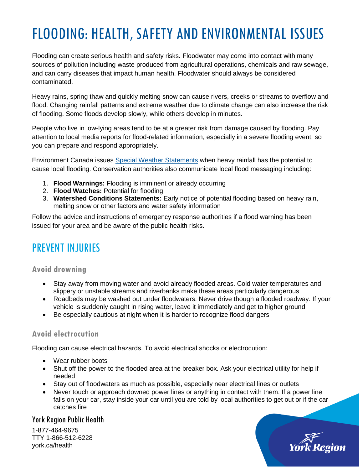# FLOODING: HEALTH, SAFETY AND ENVIRONMENTAL ISSUES

Flooding can create serious health and safety risks. Floodwater may come into contact with many sources of pollution including waste produced from agricultural operations, chemicals and raw sewage, and can carry diseases that impact human health. Floodwater should always be considered contaminated.

Heavy rains, spring thaw and quickly melting snow can cause rivers, creeks or streams to overflow and flood. Changing rainfall patterns and extreme weather due to climate change can also increase the risk of flooding. Some floods develop slowly, while others develop in minutes.

People who live in low-lying areas tend to be at a greater risk from damage caused by flooding. Pay attention to local media reports for flood-related information, especially in a severe flooding event, so you can prepare and respond appropriately.

Environment Canada issues [Special Weather Statements](http://weather.gc.ca/warnings/index_e.html) when heavy rainfall has the potential to cause local flooding. Conservation authorities also communicate local flood messaging including:

- 1. **Flood Warnings:** Flooding is imminent or already occurring
- 2. **Flood Watches:** Potential for flooding
- 3. **Watershed Conditions Statements:** Early notice of potential flooding based on heavy rain, melting snow or other factors and water safety information

Follow the advice and instructions of emergency response authorities if a flood warning has been issued for your area and be aware of the public health risks.

### PREVENT INJURIES

#### **Avoid drowning**

- Stay away from moving water and avoid already flooded areas. Cold water temperatures and slippery or unstable streams and riverbanks make these areas particularly dangerous
- Roadbeds may be washed out under floodwaters. Never drive though a flooded roadway. If your vehicle is suddenly caught in rising water, leave it immediately and get to higher ground
- Be especially cautious at night when it is harder to recognize flood dangers

#### **Avoid electrocution**

Flooding can cause electrical hazards. To avoid electrical shocks or electrocution:

- Wear rubber boots
- Shut off the power to the flooded area at the breaker box. Ask your electrical utility for help if needed
- Stay out of floodwaters as much as possible, especially near electrical lines or outlets
- Never touch or approach downed power lines or anything in contact with them. If a power line falls on your car, stay inside your car until you are told by local authorities to get out or if the car catches fire

#### York Region Public Health

1-877-464-9675 TTY 1-866-512-6228 york.ca/health

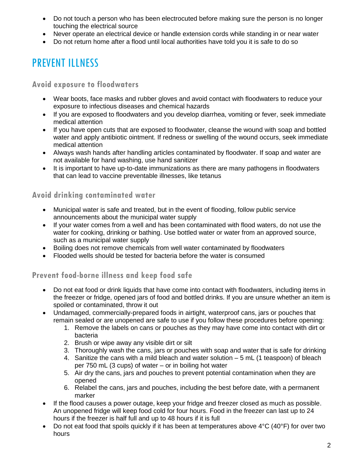- Do not touch a person who has been electrocuted before making sure the person is no longer touching the electrical source
- Never operate an electrical device or handle extension cords while standing in or near water
- Do not return home after a flood until local authorities have told you it is safe to do so

# PREVENT ILLNESS

**Avoid exposure to floodwaters** 

- Wear boots, face masks and rubber gloves and avoid contact with floodwaters to reduce your exposure to infectious diseases and chemical hazards
- If you are exposed to floodwaters and you develop diarrhea, vomiting or fever, seek immediate medical attention
- If you have open cuts that are exposed to floodwater, cleanse the wound with soap and bottled water and apply antibiotic ointment. If redness or swelling of the wound occurs, seek immediate medical attention
- Always wash hands after handling articles contaminated by floodwater. If soap and water are not available for hand washing, use hand sanitizer
- It is important to have up-to-date immunizations as there are many pathogens in floodwaters that can lead to vaccine preventable illnesses, like tetanus

### **Avoid drinking contaminated water**

- Municipal water is safe and treated, but in the event of flooding, follow public service announcements about the municipal water supply
- If your water comes from a well and has been contaminated with flood waters, do not use the water for cooking, drinking or bathing. Use bottled water or water from an approved source, such as a municipal water supply
- Boiling does not remove chemicals from well water contaminated by floodwaters
- Flooded wells should be tested for bacteria before the water is consumed

### **Prevent food-borne illness and keep food safe**

- Do not eat food or drink liquids that have come into contact with floodwaters, including items in the freezer or fridge, opened jars of food and bottled drinks. If you are unsure whether an item is spoiled or contaminated, throw it out
- Undamaged, commercially-prepared foods in airtight, waterproof cans, jars or pouches that remain sealed or are unopened are safe to use if you follow these procedures before opening:
	- 1. Remove the labels on cans or pouches as they may have come into contact with dirt or bacteria
	- 2. Brush or wipe away any visible dirt or silt
	- 3. Thoroughly wash the cans, jars or pouches with soap and water that is safe for drinking
	- 4. Sanitize the cans with a mild bleach and water solution 5 mL (1 teaspoon) of bleach per 750 mL (3 cups) of water – or in boiling hot water
	- 5. Air dry the cans, jars and pouches to prevent potential contamination when they are opened
	- 6. Relabel the cans, jars and pouches, including the best before date, with a permanent marker
- If the flood causes a power outage, keep your fridge and freezer closed as much as possible. An unopened fridge will keep food cold for four hours. Food in the freezer can last up to 24 hours if the freezer is half full and up to 48 hours if it is full
- Do not eat food that spoils quickly if it has been at temperatures above 4°C (40°F) for over two hours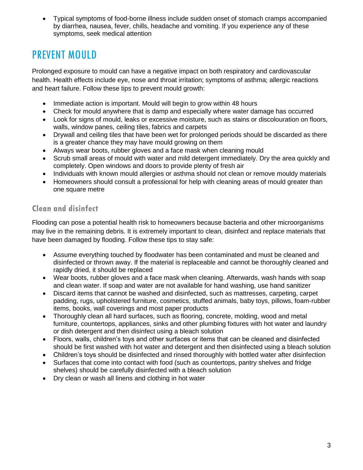Typical symptoms of food-borne illness include sudden onset of stomach cramps accompanied by diarrhea, nausea, fever, chills, headache and vomiting. If you experience any of these symptoms, seek medical attention

### PREVENT MOULD

Prolonged exposure to mould can have a negative impact on both respiratory and cardiovascular health. Health effects include eye, nose and throat irritation; symptoms of asthma; allergic reactions and heart failure. Follow these tips to prevent mould growth:

- Immediate action is important. Mould will begin to grow within 48 hours
- Check for mould anywhere that is damp and especially where water damage has occurred
- Look for signs of mould, leaks or excessive moisture, such as stains or discolouration on floors, walls, window panes, ceiling tiles, fabrics and carpets
- Drywall and ceiling tiles that have been wet for prolonged periods should be discarded as there is a greater chance they may have mould growing on them
- Always wear boots, rubber gloves and a face mask when cleaning mould
- Scrub small areas of mould with water and mild detergent immediately. Dry the area quickly and completely. Open windows and doors to provide plenty of fresh air
- Individuals with known mould allergies or asthma should not clean or remove mouldy materials
- Homeowners should consult a professional for help with cleaning areas of mould greater than one square metre

### **Clean and disinfect**

Flooding can pose a potential health risk to homeowners because bacteria and other microorganisms may live in the remaining debris. It is extremely important to clean, disinfect and replace materials that have been damaged by flooding. Follow these tips to stay safe:

- Assume everything touched by floodwater has been contaminated and must be cleaned and disinfected or thrown away. If the material is replaceable and cannot be thoroughly cleaned and rapidly dried, it should be replaced
- Wear boots, rubber gloves and a face mask when cleaning. Afterwards, wash hands with soap and clean water. If soap and water are not available for hand washing, use hand sanitizer
- Discard items that cannot be washed and disinfected, such as mattresses, carpeting, carpet padding, rugs, upholstered furniture, cosmetics, stuffed animals, baby toys, pillows, foam-rubber items, books, wall coverings and most paper products
- Thoroughly clean all hard surfaces, such as flooring, concrete, molding, wood and metal furniture, countertops, appliances, sinks and other plumbing fixtures with hot water and laundry or dish detergent and then disinfect using a bleach solution
- Floors, walls, children's toys and other surfaces or items that can be cleaned and disinfected should be first washed with hot water and detergent and then disinfected using a bleach solution
- Children's toys should be disinfected and rinsed thoroughly with bottled water after disinfection
- Surfaces that come into contact with food (such as countertops, pantry shelves and fridge shelves) should be carefully disinfected with a bleach solution
- Dry clean or wash all linens and clothing in hot water